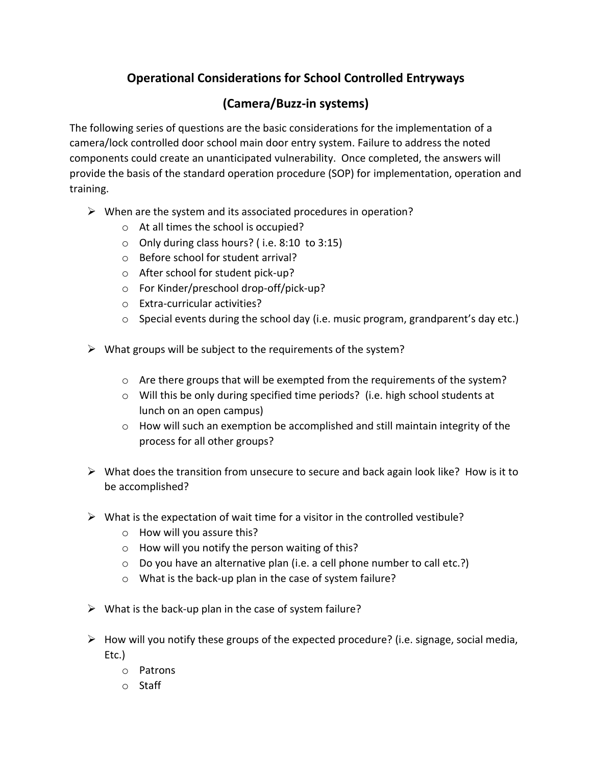## **Operational Considerations for School Controlled Entryways**

## **(Camera/Buzz-in systems)**

The following series of questions are the basic considerations for the implementation of a camera/lock controlled door school main door entry system. Failure to address the noted components could create an unanticipated vulnerability. Once completed, the answers will provide the basis of the standard operation procedure (SOP) for implementation, operation and training.

- $\triangleright$  When are the system and its associated procedures in operation?
	- o At all times the school is occupied?
	- o Only during class hours? ( i.e. 8:10 to 3:15)
	- o Before school for student arrival?
	- o After school for student pick-up?
	- o For Kinder/preschool drop-off/pick-up?
	- o Extra-curricular activities?
	- o Special events during the school day (i.e. music program, grandparent's day etc.)
- $\triangleright$  What groups will be subject to the requirements of the system?
	- o Are there groups that will be exempted from the requirements of the system?
	- $\circ$  Will this be only during specified time periods? (i.e. high school students at lunch on an open campus)
	- o How will such an exemption be accomplished and still maintain integrity of the process for all other groups?
- $\triangleright$  What does the transition from unsecure to secure and back again look like? How is it to be accomplished?
- $\triangleright$  What is the expectation of wait time for a visitor in the controlled vestibule?
	- o How will you assure this?
	- o How will you notify the person waiting of this?
	- o Do you have an alternative plan (i.e. a cell phone number to call etc.?)
	- o What is the back-up plan in the case of system failure?
- $\triangleright$  What is the back-up plan in the case of system failure?
- $\triangleright$  How will you notify these groups of the expected procedure? (i.e. signage, social media, Etc.)
	- o Patrons
	- o Staff